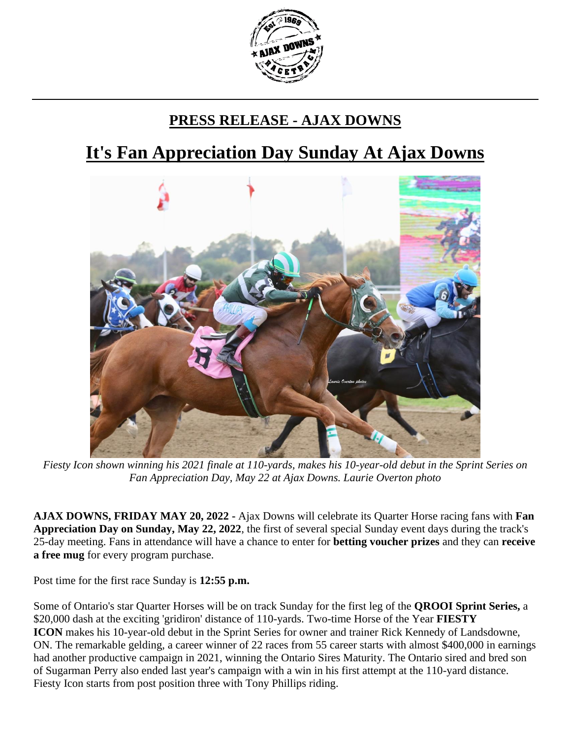

## **PRESS RELEASE - AJAX DOWNS**

## **It's Fan Appreciation Day Sunday At Ajax Downs**



*Fiesty Icon shown winning his 2021 finale at 110-yards, makes his 10-year-old debut in the Sprint Series on Fan Appreciation Day, May 22 at Ajax Downs. Laurie Overton photo*

**AJAX DOWNS, FRIDAY MAY 20, 2022 -** Ajax Downs will celebrate its Quarter Horse racing fans with **Fan Appreciation Day on Sunday, May 22, 2022**, the first of several special Sunday event days during the track's 25-day meeting. Fans in attendance will have a chance to enter for **betting voucher prizes** and they can **receive a free mug** for every program purchase.

Post time for the first race Sunday is **12:55 p.m.**

Some of Ontario's star Quarter Horses will be on track Sunday for the first leg of the **QROOI Sprint Series,** a \$20,000 dash at the exciting 'gridiron' distance of 110-yards. Two-time Horse of the Year **FIESTY ICON** makes his 10-year-old debut in the Sprint Series for owner and trainer Rick Kennedy of Landsdowne, ON. The remarkable gelding, a career winner of 22 races from 55 career starts with almost \$400,000 in earnings had another productive campaign in 2021, winning the Ontario Sires Maturity. The Ontario sired and bred son of Sugarman Perry also ended last year's campaign with a win in his first attempt at the 110-yard distance. Fiesty Icon starts from post position three with Tony Phillips riding.